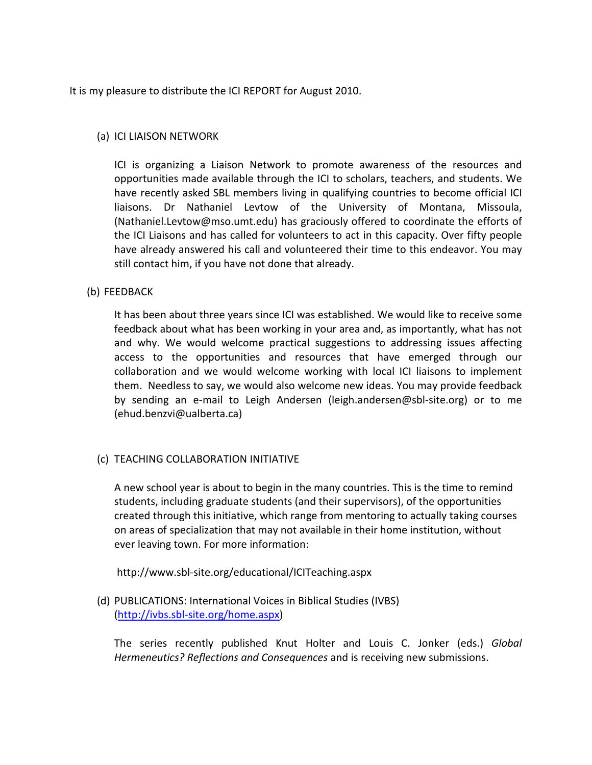It is my pleasure to distribute the ICI REPORT for August 2010.

# (a) ICI LIAISON NETWORK

ICI is organizing a Liaison Network to promote awareness of the resources and opportunities made available through the ICI to scholars, teachers, and students. We have recently asked SBL members living in qualifying countries to become official ICI liaisons. Dr Nathaniel Levtow of the University of Montana, Missoula, (Nathaniel.Levtow@mso.umt.edu) has graciously offered to coordinate the efforts of the ICI Liaisons and has called for volunteers to act in this capacity. Over fifty people have already answered his call and volunteered their time to this endeavor. You may still contact him, if you have not done that already.

# (b) FEEDBACK

It has been about three years since ICI was established. We would like to receive some feedback about what has been working in your area and, as importantly, what has not and why. We would welcome practical suggestions to addressing issues affecting access to the opportunities and resources that have emerged through our collaboration and we would welcome working with local ICI liaisons to implement them. Needless to say, we would also welcome new ideas. You may provide feedback by sending an e-mail to Leigh Andersen (leigh.andersen@sbl-site.org) or to me (ehud.benzvi@ualberta.ca)

# (c) TEACHING COLLABORATION INITIATIVE

A new school year is about to begin in the many countries. This is the time to remind students, including graduate students (and their supervisors), of the opportunities created through this initiative, which range from mentoring to actually taking courses on areas of specialization that may not available in their home institution, without ever leaving town. For more information:

http://www.sbl-site.org/educational/ICITeaching.aspx

(d) PUBLICATIONS: International Voices in Biblical Studies (IVBS) (http://ivbs.sbl-site.org/home.aspx)

The series recently published Knut Holter and Louis C. Jonker (eds.) *Global Hermeneutics? Reflections and Consequences* and is receiving new submissions.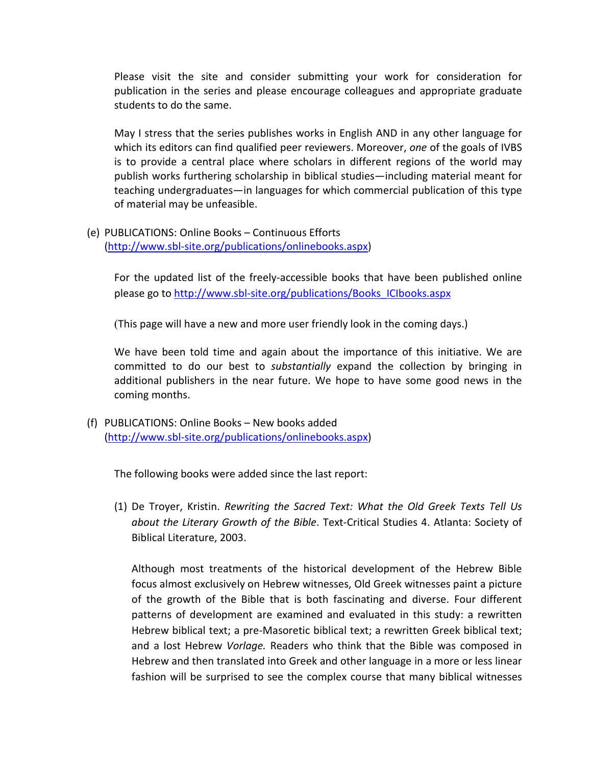Please visit the site and consider submitting your work for consideration for publication in the series and please encourage colleagues and appropriate graduate students to do the same.

May I stress that the series publishes works in English AND in any other language for which its editors can find qualified peer reviewers. Moreover, *one* of the goals of IVBS is to provide a central place where scholars in different regions of the world may publish works furthering scholarship in biblical studies—including material meant for teaching undergraduates—in languages for which commercial publication of this type of material may be unfeasible.

(e) PUBLICATIONS: Online Books – Continuous Efforts (http://www.sbl-site.org/publications/onlinebooks.aspx)

For the updated list of the freely-accessible books that have been published online please go to http://www.sbl-site.org/publications/Books\_ICIbooks.aspx

(This page will have a new and more user friendly look in the coming days.)

We have been told time and again about the importance of this initiative. We are committed to do our best to *substantially* expand the collection by bringing in additional publishers in the near future. We hope to have some good news in the coming months.

(f) PUBLICATIONS: Online Books – New books added (http://www.sbl-site.org/publications/onlinebooks.aspx)

The following books were added since the last report:

(1) De Troyer, Kristin. *Rewriting the Sacred Text: What the Old Greek Texts Tell Us about the Literary Growth of the Bible*. Text-Critical Studies 4. Atlanta: Society of Biblical Literature, 2003.

Although most treatments of the historical development of the Hebrew Bible focus almost exclusively on Hebrew witnesses, Old Greek witnesses paint a picture of the growth of the Bible that is both fascinating and diverse. Four different patterns of development are examined and evaluated in this study: a rewritten Hebrew biblical text; a pre-Masoretic biblical text; a rewritten Greek biblical text; and a lost Hebrew *Vorlage.* Readers who think that the Bible was composed in Hebrew and then translated into Greek and other language in a more or less linear fashion will be surprised to see the complex course that many biblical witnesses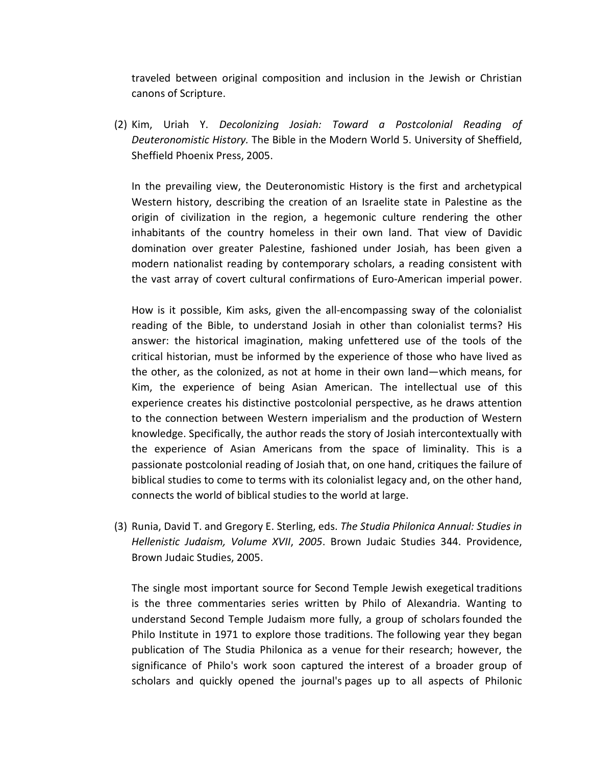traveled between original composition and inclusion in the Jewish or Christian canons of Scripture.

(2) Kim, Uriah Y. *Decolonizing Josiah: Toward a Postcolonial Reading of Deuteronomistic History.* The Bible in the Modern World 5. University of Sheffield, Sheffield Phoenix Press, 2005.

In the prevailing view, the Deuteronomistic History is the first and archetypical Western history, describing the creation of an Israelite state in Palestine as the origin of civilization in the region, a hegemonic culture rendering the other inhabitants of the country homeless in their own land. That view of Davidic domination over greater Palestine, fashioned under Josiah, has been given a modern nationalist reading by contemporary scholars, a reading consistent with the vast array of covert cultural confirmations of Euro-American imperial power.

How is it possible, Kim asks, given the all-encompassing sway of the colonialist reading of the Bible, to understand Josiah in other than colonialist terms? His answer: the historical imagination, making unfettered use of the tools of the critical historian, must be informed by the experience of those who have lived as the other, as the colonized, as not at home in their own land—which means, for Kim, the experience of being Asian American. The intellectual use of this experience creates his distinctive postcolonial perspective, as he draws attention to the connection between Western imperialism and the production of Western knowledge. Specifically, the author reads the story of Josiah intercontextually with the experience of Asian Americans from the space of liminality. This is a passionate postcolonial reading of Josiah that, on one hand, critiques the failure of biblical studies to come to terms with its colonialist legacy and, on the other hand, connects the world of biblical studies to the world at large.

(3) Runia, David T. and Gregory E. Sterling, eds. *The Studia Philonica Annual: Studies in Hellenistic Judaism, Volume XVII*, *2005*. Brown Judaic Studies 344. Providence, Brown Judaic Studies, 2005.

The single most important source for Second Temple Jewish exegetical traditions is the three commentaries series written by Philo of Alexandria. Wanting to understand Second Temple Judaism more fully, a group of scholars founded the Philo Institute in 1971 to explore those traditions. The following year they began publication of The Studia Philonica as a venue for their research; however, the significance of Philo's work soon captured the interest of a broader group of scholars and quickly opened the journal's pages up to all aspects of Philonic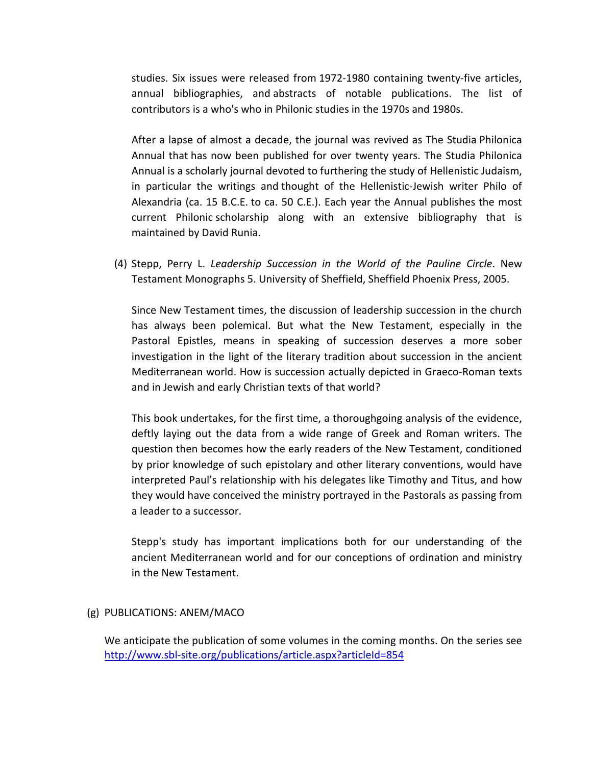studies. Six issues were released from 1972-1980 containing twenty-five articles, annual bibliographies, and abstracts of notable publications. The list of contributors is a who's who in Philonic studies in the 1970s and 1980s.

After a lapse of almost a decade, the journal was revived as The Studia Philonica Annual that has now been published for over twenty years. The Studia Philonica Annual is a scholarly journal devoted to furthering the study of Hellenistic Judaism, in particular the writings and thought of the Hellenistic-Jewish writer Philo of Alexandria (ca. 15 B.C.E. to ca. 50 C.E.). Each year the Annual publishes the most current Philonic scholarship along with an extensive bibliography that is maintained by David Runia.

(4) Stepp, Perry L. *Leadership Succession in the World of the Pauline Circle*. New Testament Monographs 5. University of Sheffield, Sheffield Phoenix Press, 2005.

Since New Testament times, the discussion of leadership succession in the church has always been polemical. But what the New Testament, especially in the Pastoral Epistles, means in speaking of succession deserves a more sober investigation in the light of the literary tradition about succession in the ancient Mediterranean world. How is succession actually depicted in Graeco-Roman texts and in Jewish and early Christian texts of that world?

This book undertakes, for the first time, a thoroughgoing analysis of the evidence, deftly laying out the data from a wide range of Greek and Roman writers. The question then becomes how the early readers of the New Testament, conditioned by prior knowledge of such epistolary and other literary conventions, would have interpreted Paul's relationship with his delegates like Timothy and Titus, and how they would have conceived the ministry portrayed in the Pastorals as passing from a leader to a successor.

Stepp's study has important implications both for our understanding of the ancient Mediterranean world and for our conceptions of ordination and ministry in the New Testament.

#### (g) PUBLICATIONS: ANEM/MACO

We anticipate the publication of some volumes in the coming months. On the series see http://www.sbl-site.org/publications/article.aspx?articleId=854